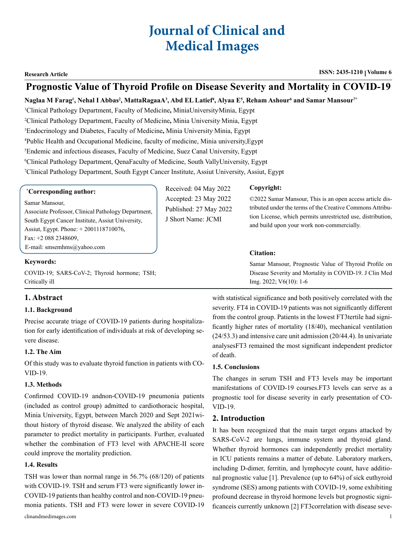# **Journal of Clinical and Medical Images**

# **Prognostic Value of Thyroid Profile on Disease Severity and Mortality in COVID-19**

## $\bm{\mathsf{N}}$ aglaa M Farag<sup>1</sup>, Nehal I Abbas<sup>2</sup>, MattaRagaaA<sup>3</sup>, Abd EL Latief<sup>4</sup>, Alyaa E<sup>5</sup>, Reham Ashour<sup>6</sup> and Samar Mansour<sup>7\*</sup>

 Clinical Pathology Department, Faculty of Medicine**,** MiniaUniversity, Minia, Egypt Clinical Pathology Department, Faculty of Medicine**,** Minia University, Minia, Egypt Endocrinology and Diabetes, Faculty of Medicine**,** Minia University, Minia, Egypt Public Health and Occupational Medicine, faculty of medicine, Minia university,Egypt Endemic and infectious diseases, Faculty of Medicine, Suez Canal University, Egypt Clinical Pathology Department, QenaFaculty of Medicine, South VallyUniversity, Egypt Clinical Pathology Department, South Egypt Cancer Institute, Assiut University, Assiut, Egypt

| <i>*Corresponding author:</i>                       | Received: 04 May 2022  | Copyright:                                                  |
|-----------------------------------------------------|------------------------|-------------------------------------------------------------|
| Samar Mansour,                                      | Accepted: 23 May 2022  | ©2022 Samar Mansour, This is an open access article dis-    |
| Associate Professor, Clinical Pathology Department, | Published: 27 May 2022 | tributed under the terms of the Creative Commons Attribu-   |
| South Egypt Cancer Institute, Assiut University,    | J Short Name: JCMI     | tion License, which permits unrestricted use, distribution, |
| Assiut, Egypt. Phone: $+ 2001118710076$ ,           |                        | and build upon your work non-commercially.                  |

#### **Citation:**

Samar Mansour, Prognostic Value of Thyroid Profile on Disease Severity and Mortality in COVID-19. J Clin Med Img. 2022; V6(10): 1-6

#### Fax: +2 088 2348609,

E-mail: [smsemhms@yahoo.com](mailto:smsemhms@yahoo.com)

#### **Keywords:**

COVID-19; SARS-CoV-2; Thyroid hormone; TSH; Critically ill

# **1. Abstract**

#### **1.1. Background**

Precise accurate triage of COVID-19 patients during hospitalization for early identification of individuals at risk of developing severe disease.

#### **1.2. The Aim**

Of this study was to evaluate thyroid function in patients with CO-VID-19.

#### **1.3. Methods**

Confirmed COVID-19 andnon-COVID-19 pneumonia patients (included as control group) admitted to cardiothoracic hospital, Minia University, Egypt, between March 2020 and Sept 2021without history of thyroid disease. We analyzed the ability of each parameter to predict mortality in participants. Further, evaluated whether the combination of FT3 level with APACHE-II score could improve the mortality prediction.

#### **1.4. Results**

TSH was lower than normal range in 56.7% (68/120) of patients with COVID-19. TSH and serum FT3 were significantly lower in-COVID-19 patients than healthy control and non-COVID-19 pneumonia patients. TSH and FT3 were lower in severe COVID-19

clinandmedimages.com 1

with statistical significance and both positively correlated with the severity. FT4 in COVID-19 patients was not significantly different from the control group. Patients in the lowest FT3tertile had significantly higher rates of mortality (18/40), mechanical ventilation (24/53.3) and intensive care unit admission (20/44.4). In univariate analysesFT3 remained the most significant independent predictor of death.

#### **1.5. Conclusions**

The changes in serum TSH and FT3 levels may be important manifestations of COVID-19 courses.FT3 levels can serve as a prognostic tool for disease severity in early presentation of CO-VID-19.

#### **2. Introduction**

It has been recognized that the main target organs attacked by SARS-CoV-2 are lungs, immune system and thyroid gland. Whether thyroid hormones can independently predict mortality in ICU patients remains a matter of debate. Laboratory markers, including D-dimer, ferritin, and lymphocyte count, have additional prognostic value [1]. Prevalence (up to 64%) of sick euthyroid syndrome (SES) among patients with COVID-19, some exhibiting profound decrease in thyroid hormone levels but prognostic significanceis currently unknown [2] FT3correlation with disease seve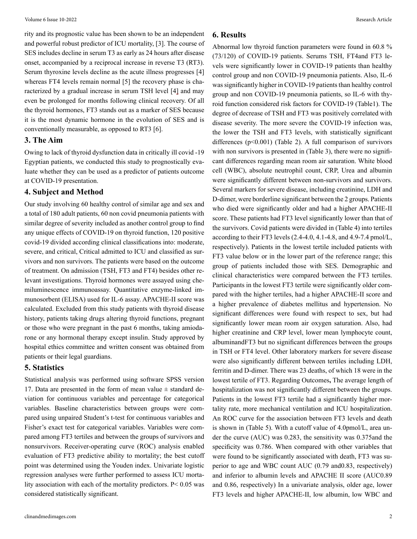rity and its prognostic value has been shown to be an independent and powerful robust predictor of ICU mortality, [3]. The course of SES includes decline in serum T3 as early as 24 hours after disease onset, accompanied by a reciprocal increase in reverse T3 (RT3). Serum thyroxine levels decline as the acute illness progresses [4] whereas FT4 levels remain normal [5] the recovery phase is characterized by a gradual increase in serum TSH level [4] and may even be prolonged for months following clinical recovery. Of all the thyroid hormones, FT3 stands out as a marker of SES because it is the most dynamic hormone in the evolution of SES and is conventionally measurable, as opposed to RT3 [6].

#### **3. The Aim**

Owing to lack of thyroid dysfunction data in critically ill covid -19 Egyptian patients, we conducted this study to prognostically evaluate whether they can be used as a predictor of patients outcome at COVID-19 presentation.

#### **4. Subject and Method**

Our study involving 60 healthy control of similar age and sex and a total of 180 adult patients, 60 non covid pneumonia patients with similar degree of severity included as another control group to find any unique effects of COVID-19 on thyroid function, 120 positive covid-19 divided according clinical classifications into: moderate, severe, and critical, Critical admitted to ICU and classified as survivors and non survivors. The patients were based on the outcome of treatment. On admission (TSH, FT3 and FT4) besides other relevant investigations. Thyroid hormones were assayed using chemiluminescence immunoassay. Quantitative enzyme-linked immunosorbent (ELISA) used for IL-6 assay. APACHE-II score was calculated. Excluded from this study patients with thyroid disease history, patients taking drugs altering thyroid functions, pregnant or those who were pregnant in the past 6 months, taking amiodarone or any hormonal therapy except insulin. Study approved by hospital ethics committee and written consent was obtained from patients or their legal guardians.

#### **5. Statistics**

Statistical analysis was performed using software SPSS version 17. Data are presented in the form of mean value  $\pm$  standard deviation for continuous variables and percentage for categorical variables. Baseline characteristics between groups were compared using unpaired Student's t-test for continuous variables and Fisher's exact test for categorical variables. Variables were compared among FT3 tertiles and between the groups of survivors and nonsurvivors. Receiver-operating curve (ROC) analysis enabled evaluation of FT3 predictive ability to mortality; the best cutoff point was determined using the Youden index. Univariate logistic regression analyses were further performed to assess ICU mortality association with each of the mortality predictors. P< 0.05 was considered statistically significant.

#### **6. Results**

Abnormal low thyroid function parameters were found in 60.8 % (73/120) of COVID-19 patients. Serums TSH, FT4and FT3 levels were significantly lower in COVID-19 patients than healthy control group and non COVID-19 pneumonia patients. Also, IL-6 was significantly higher in COVID-19 patients than healthy control group and non COVID-19 pneumonia patients, so IL-6 with thyroid function considered risk factors for COVID-19 (Table1). The degree of decrease of TSH and FT3 was positively correlated with disease severity. The more severe the COVID-19 infection was, the lower the TSH and FT3 levels, with statistically significant differences (p<0.001) (Table 2). A full comparison of survivors with non survivors is presented in (Table 3), there were no significant differences regarding mean room air saturation. White blood cell (WBC), absolute neutrophil count, CRP, Urea and albumin were significantly different between non-survivors and survivors. Several markers for severe disease, including creatinine, LDH and D-dimer, were borderline significant between the 2 groups. Patients who died were significantly older and had a higher APACHE-II score. These patients had FT3 level significantly lower than that of the survivors. Covid patients were divided in (Table 4) into tertiles according to their FT3 levels  $(2.4-4.0, 4.1-4.8, \text{and } 4.9-7.4 \text{ pmol/L}$ , respectively). Patients in the lowest tertile included patients with FT3 value below or in the lower part of the reference range; this group of patients included those with SES. Demographic and clinical characteristics were compared between the FT3 tertiles. Participants in the lowest FT3 tertile were significantly older compared with the higher tertiles, had a higher APACHE-II score and a higher prevalence of diabetes mellitus and hypertension. No significant differences were found with respect to sex, but had significantly lower mean room air oxygen saturation. Also, had higher creatinine and CRP level, lower mean lymphocyte count, albuminandFT3 but no significant differences between the groups in TSH or FT4 level. Other laboratory markers for severe disease were also significantly different between tertiles including LDH, ferritin and D-dimer. There was 23 deaths, of which 18 were in the lowest tertile of FT3. Regarding Outcomes**,** The average length of hospitalization was not significantly different between the groups. Patients in the lowest FT3 tertile had a significantly higher mortality rate, more mechanical ventilation and ICU hospitalization. An ROC curve for the association between FT3 levels and death is shown in (Table 5). With a cutoff value of 4.0pmol/L, area under the curve (AUC) was 0.283, the sensitivity was 0.375and the specificity was 0.786. When compared with other variables that were found to be significantly associated with death, FT3 was superior to age and WBC count AUC (0.79 and0.83, respectively) and inferior to albumin levels and APACHE II score (AUC0.89 and 0.86, respectively) In a univariate analysis, older age, lower FT3 levels and higher APACHE-II, low albumin, low WBC and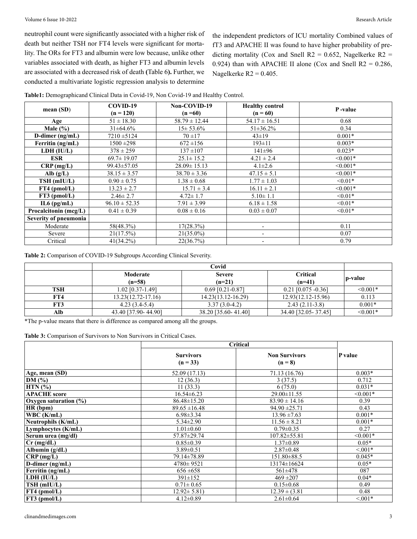#### Volume 6 Issue 10-2022 Research Article

neutrophil count were significantly associated with a higher risk of death but neither TSH nor FT4 levels were significant for mortality. The ORs for FT3 and albumin were low because, unlike other variables associated with death, as higher FT3 and albumin levels are associated with a decreased risk of death **(**Table 6**).** Further, we conducted a multivariate logistic regression analysis to determine

the independent predictors of ICU mortality Combined values of fT3 and APACHE II was found to have higher probability of predicting mortality (Cox and Snell R2 = 0.652, Nagelkerke R2 = 0.924) than with APACHE II alone (Cox and Snell  $R2 = 0.286$ , Nagelkerke  $R2 = 0.405$ .

|                       | COVID-19          | Non-COVID-19      | <b>Healthy control</b>   | P-value       |
|-----------------------|-------------------|-------------------|--------------------------|---------------|
| mean(SD)              | $(n = 120)$       | $(n=60)$          | $(n = 60)$               |               |
| Age                   | $51 \pm 18.30$    | $58.79 \pm 12.44$ | $54.17 \pm 16.51$        | 0.68          |
| Male $(\% )$          | $31\pm 64.6\%$    | $15 \pm 53.6\%$   | $51\pm36.2\%$            | 0.34          |
| D-dimer $(ng/mL)$     | $7210 \pm 5124$   | $70 + 17$         | $43 \pm 19$              | $0.001*$      |
| Ferritin (ng/mL)      | $1500 \pm 298$    | $672 \pm 156$     | $193 \pm 11$             | $0.003*$      |
| LDH (IU/L)            | $378 \pm 259$     | $137 + 107$       | $141\pm96$               | $0.023*$      |
| <b>ESR</b>            | $69.7 \pm 19.07$  | $25.1 \pm 15.2$   | $4.21 \pm 2.4$           | $\leq 0.001*$ |
| $CRP$ (mg/L)          | 99.43±57.05       | $28.09 \pm 15.13$ | $4.1 \pm 2.6$            | $\leq 0.001*$ |
| Alb $(g/L)$           | $38.15 \pm 3.57$  | $38.70 \pm 3.36$  | $47.15 \pm 5.1$          | $\leq 0.001*$ |
| TSH (mIU/L)           | $0.90 \pm 0.75$   | $1.38 \pm 0.68$   | $1.77 \pm 1.03$          | $< 0.01*$     |
| $FT4$ (pmol/L)        | $13.23 \pm 2.7$   | $15.71 \pm 3.4$   | $16.11 \pm 2.1$          | $\leq 0.001*$ |
| $FT3$ (pmol/L)        | $2.46 \pm 2.7$    | $4.72 \pm 1.7$    | $5.10 \pm 1.1$           | $< 0.01*$     |
| $IL6$ (pg/mL)         | $96.10 \pm 52.35$ | $7.91 \pm 3.99$   | $6.18 \pm 1.58$          | $< 0.01*$     |
| Procalcitonin (mcg/L) | $0.41 \pm 0.39$   | $0.08 \pm 0.16$   | $0.03 \pm 0.07$          | $< 0.01*$     |
| Severity of pneumonia |                   |                   |                          |               |
| Moderate              | 58(48.3%)         | 17(28.3%)         | $\overline{\phantom{a}}$ | 0.11          |
| Severe                | 21(17.5%)         | $21(35.0\%)$      | $\overline{\phantom{0}}$ | 0.07          |
| Critical              | $41(34.2\%)$      | 22(36.7%)         |                          | 0.79          |

**Table1:** Demographicand Clinical Data in Covid-19, Non Covid-19 and Healthy Control.

**Table 2:** Comparison of COVID-19 Subgroups According Clinical Severity.

|            | Covid                  |                           |                             |            |
|------------|------------------------|---------------------------|-----------------------------|------------|
|            | Moderate<br>$(n=58)$   | <b>Severe</b><br>$(n=21)$ | <b>Critical</b><br>$(n=41)$ | ∣ p-value  |
| <b>TSH</b> | 1.02 [0.37-1.49]       | $0.69$ [0.21-0.87]        | $0.21$ [0.075 -0.36]        | $< 0.001*$ |
| FT4        | $13.23(12.72 - 17.16)$ | 14.23(13.12-16.29)        | $12.93(12.12 - 15.96)$      | 0.113      |
| FT3        | $4.23(3.4-5.4)$        | $3.37(3.0-4.2)$           | $2.43(2.11-3.8)$            | $0.001*$   |
| Alb        | 43.40 [37.90-44.90]    | 38.20 [35.60-41.40]       | 34.40 [32.05-37.45]         | $< 0.001*$ |

\*The p-value means that there is difference as compared among all the groups.

**Table 3:** Comparison of Survivors to Non Survivors in Critical Cases.

|                              | Critical                       |                                   |               |
|------------------------------|--------------------------------|-----------------------------------|---------------|
|                              | <b>Survivors</b><br>$(n = 33)$ | <b>Non Survivors</b><br>$(n = 8)$ | P value       |
| Age, mean (SD)               | 52.09 (17.13)                  | 71.13 (16.76)                     | $0.003*$      |
| $\overline{\mathrm{DM}}$ (%) | 12(36.3)                       | 3(37.5)                           | 0.712         |
| $HTN (\% )$                  | 11(33.3)                       | 6(75.0)                           | $0.031*$      |
| <b>APACHE</b> score          | $16.54\pm 6.23$                | $29.00 \pm 11.55$                 | $\leq 0.001*$ |
| Oxygen saturation $(\% )$    | $86.48 \pm 15.20$              | $83.90 \pm 14.16$                 | 0.39          |
| HR (bpm)                     | $89.65 \pm 16.48$              | $94.90 \pm 25.71$                 | 0.43          |
| WBC (K/mL)                   | $6.98 \pm 3.34$                | $13.96 \pm 7.63$                  | $0.001*$      |
| Neutrophils (K/mL)           | $5.34 \pm 2.90$                | $11.56 \pm 8.21$                  | $0.001*$      |
| Lymphocytes (K/mL)           | $1.01 \pm 0.60$                | $0.79 \pm 0.35$                   | 0.27          |
| Serum urea (mg/dl)           | 57.87±29.74                    | $107.82 \pm 55.81$                | $< 0.001*$    |
| $Cr$ (mg/dL)                 | $0.85 \pm 0.39$                | $1.37 \pm 0.89$                   | $0.05*$       |
| Albumin $(g/dL)$             | $3.89 \pm 0.51$                | $2.87 \pm 0.48$                   | $< 0.01*$     |
| $CRP$ (mg/L)                 | 79.14±78.89                    | $151.80 \pm 88.5$                 | $0.045*$      |
| D-dimer (ng/mL)              | $4780 \pm 9521$                | 13174±16624                       | $0.05*$       |
| Ferritin (ng/mL)             | $656 \pm 658$                  | 561±478                           | 087           |
| LDH (IU/L)                   | $391 \pm 152$                  | $469 \pm 207$                     | $0.04*$       |
| TSH (mIU/L)                  | $0.71 \pm 0.65$                | $0.15 \pm 0.68$                   | 0.49          |
| FT4 (pmol/L)                 | $12.92 \pm 5.81$               | $12.39 \pm (3.81)$                | 0.48          |
| $FT3$ (pmol/L)               | $4.12 \pm 0.89$                | $2.61 \pm 0.64$                   | $< 0.01*$     |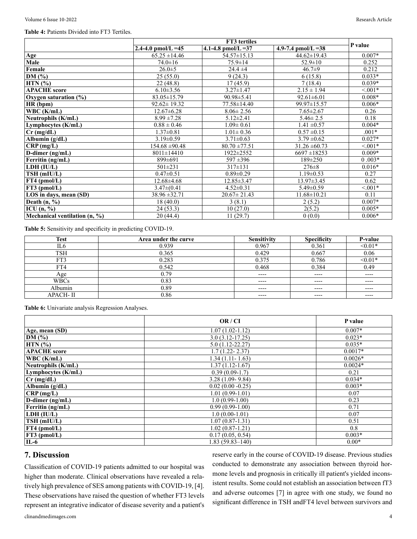#### **Table 4:** Patients Divided into FT3 Tertiles.

|                               | FT3 tertiles        |                     |                     |           |
|-------------------------------|---------------------|---------------------|---------------------|-----------|
|                               | 2.4-4.0 pmol/L = 45 | 4.1-4.8 pmol/L = 37 | 4.9-7.4 pmol/L = 38 | P value   |
| Age                           | $65.25 \pm 14.46$   | $54.57 \pm 15.13$   | $44.62 \pm 19.43$   | $0.007*$  |
| Male                          | $74.0 \pm 16$       | $75.9 \pm 14$       | $52.9 \pm 10$       | 0.252     |
| Female                        | $26.0 \pm 5$        | $24.4 \pm 4$        | $46.7 \pm 9$        | 0.212     |
| DM $(%)$                      | 25(55.0)            | 9(24.3)             | 6(15.8)             | $0.033*$  |
| $HTN$ $(\% )$                 | 22(48.8)            | 17(45.9)            | 7(18.4)             | $0.039*$  |
| <b>APACHE</b> score           | $6.10 \pm 3.56$     | $3.27 \pm 1.47$     | $2.15 \pm 1.94$     | $< 0.01*$ |
| Oxygen saturation $(\%)$      | $83.05 \pm 15.79$   | 90.98±5.41          | $92.61 \pm 6.01$    | $0.008*$  |
| HR (bpm)                      | $92.62 \pm 19.32$   | 77.58±14.40         | 99.97±15.57         | $0.006*$  |
| WBC (K/mL)                    | $12.67 \pm 6.28$    | $8.06 \pm 2.56$     | $7.65 \pm 2.67$     | 0.26      |
| Neutrophils (K/mL)            | $8.99 \pm 7.28$     | $5.12 \pm 2.41$     | $5.46 \pm 2.5$      | 0.18      |
| Lymphocytes (K/mL)            | $0.88 \pm 0.46$     | $1.09 \pm 0.61$     | $1.41 \pm 0.57$     | $0.004*$  |
| $Cr$ (mg/dL)                  | $1.37 \pm 0.81$     | $1.01 \pm 0.36$     | $0.57 \pm 0.15$     | $.001*$   |
| Albumin $(g/dL)$              | $3.19 \pm 0.59$     | $3.71 \pm 0.63$     | $3.79 \pm 0.62$     | $0.027*$  |
| $CRP$ (mg/L)                  | $154.68 \pm 90.48$  | $80.70 \pm 77.51$   | $31.26 \pm 60.73$   | $< 0.01*$ |
| D-dimer (ng/mL)               | $8011 \pm 14410$    | 1922±2552           | $6697 \pm 18253$    | $0.009*$  |
| Ferritin (ng/mL)              | 899±691             | $597 \pm 396$       | $189 \pm 250$       | $0.003*$  |
| LDH (IU/L)                    | $501 \pm 231$       | $317\pm131$         | $276 \pm 8$         | $0.016*$  |
| TSH (mIU/L)                   | $0.47 \pm 0.51$     | $0.89 \pm 0.29$     | $1.19 \pm 0.53$     | 0.27      |
| $FT4$ (pmol/L)                | 12.68±4.68          | 12.85±3.47          | 13.97±3.45          | 0.62      |
| $FT3$ (pmol/L)                | $3.47\pm(0.41)$     | $4.52 \pm 0.31$     | $5.49 \pm 0.59$     | $< 001*$  |
| LOS in days, mean (SD)        | $38.96 \pm 32.71$   | $20.67 \pm 21.43$   | $11.68 \pm 10.21$   | 0.11      |
| Death $(n, %)$                | 18(40.0)            | 3(8.1)              | 2(5.2)              | $0.007*$  |
| ICU $(n, %)$                  | 24(53.3)            | 10(27.0)            | 2(5.2)              | $0.005*$  |
| Mechanical ventilation (n, %) | 20(44.4)            | 11(29.7)            | 0(0.0)              | $0.006*$  |

**Table 5:** Sensitivity and specificity in predicting COVID-19.

| <b>Test</b>     | Area under the curve | Sensitivity | <b>Specificity</b> | P-value   |
|-----------------|----------------------|-------------|--------------------|-----------|
| IL6             | 0.939                | 0.967       | 0.361              | $< 0.01*$ |
| <b>TSH</b>      | 0.365                | 0.429       | 0.667              | 0.06      |
| FT3             | 0.283                | 0.375       | 0.786              | $<0.01*$  |
| FT4             | 0.542                | 0.468       | 0.384              | 0.49      |
| Age             | 0.79                 | $---$       | $---$              | $---$     |
| <b>WBCs</b>     | 0.83                 | $---$       | $---$              | ----      |
| Albumin         | 0.89                 | $---$       | $---$              | $---$     |
| <b>APACH-II</b> | 0.86                 | $---$       | $---$              | $---$     |

**Table 6:** Univariate analysis Regression Analyses.

|                     | OR / CI             | P value   |
|---------------------|---------------------|-----------|
| Age, mean (SD)      | $1.07(1.02 - 1.12)$ | $0.007*$  |
| DM $(%)$            | $3.0(3.12 - 17.25)$ | $0.023*$  |
| $HTN$ $(\% )$       | $5.0(1.12-22.27)$   | $0.035*$  |
| <b>APACHE</b> score | $1.7(1.22 - 2.37)$  | $0.0017*$ |
| WBC (K/mL)          | $1.34(1.11 - 1.63)$ | $0.0026*$ |
| Neutrophils (K/mL)  | $1.37(1.12 - 1.67)$ | $0.0024*$ |
| Lymphocytes (K/mL)  | $0.39(0.09-1.7)$    | 0.21      |
| $Cr$ (mg/dL)        | $3.28(1.09 - 9.84)$ | $0.034*$  |
| Albumin $(g/dL)$    | $0.02(0.00 - 0.25)$ | $0.003*$  |
| CRP(mg/L)           | $1.01(0.99-1.01)$   | 0.07      |
| D-dimer (ng/mL)     | $1.0(0.99-1.00)$    | 0.23      |
| Ferritin (ng/mL)    | $0.99(0.99-1.00)$   | 0.71      |
| LDH (IU/L)          | $1.0(0.00-1.01)$    | 0.07      |
| TSH (mIU/L)         | $1.07(0.87-1.31)$   | 0.51      |
| $FT4$ (pmol/L)      | $1.02(0.87-1.21)$   | 0.8       |
| $FT3$ (pmol/L)      | 0.17(0.05, 0.54)    | $0.003*$  |
| $IL-6$              | $1.83(59.83 - 140)$ | $0.00*$   |

## **7. Discussion**

Classification of COVID-19 patients admitted to our hospital was higher than moderate. Clinical observations have revealed a relatively high prevalence of SES among patients with COVID-19, [4]. These observations have raised the question of whether FT3 levels represent an integrative indicator of disease severity and a patient's reserve early in the course of COVID-19 disease. Previous studies conducted to demonstrate any association between thyroid hormone levels and prognosis in critically ill patient's yielded inconsistent results. Some could not establish an association between fT3 and adverse outcomes [7] in agree with one study, we found no significant difference in TSH andFT4 level between survivors and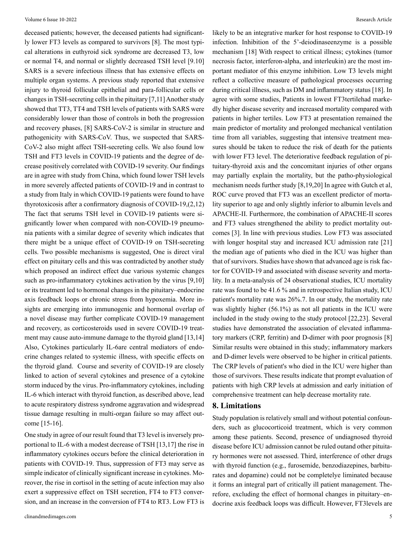deceased patients; however, the deceased patients had significantly lower FT3 levels as compared to survivors [8]. The most typical alterations in euthyroid sick syndrome are decreased T3, low or normal T4, and normal or slightly decreased TSH level [9.10] SARS is a severe infectious illness that has extensive effects on multiple organ systems. A previous study reported that extensive injury to thyroid follicular epithelial and para-follicular cells or changes in TSH-secreting cells in the pituitary [7,11] Another study showed that TT3, TT4 and TSH levels of patients with SARS were considerably lower than those of controls in both the progression and recovery phases, [8] SARS-CoV-2 is similar in structure and pathogenicity with SARS-CoV. Thus, we suspected that SARS-CoV-2 also might affect TSH-secreting cells. We also found low TSH and FT3 levels in COVID-19 patients and the degree of decrease positively correlated with COVID-19 severity. Our findings are in agree with study from China, which found lower TSH levels in more severely affected patients of COVID-19 and in contrast to a study from Italy in which COVID-19 patients were found to have thyrotoxicosis after a confirmatory diagnosis of COVID-19,(2,12) The fact that serums TSH level in COVID-19 patients were significantly lower when compared with non-COVID-19 pneumonia patients with a similar degree of severity which indicates that there might be a unique effect of COVID-19 on TSH-secreting cells. Two possible mechanisms is suggested, One is direct viral effect on pituitary cells and this was contradicted by another study which proposed an indirect effect due various systemic changes such as pro-inflammatory cytokines activation by the virus [9,10] or its treatment led to hormonal changes in the pituitary–endocrine axis feedback loops or chronic stress from hypoxemia. More insights are emerging into immunogenic and hormonal overlap of a novel disease may further complicate COVID-19 management and recovery, as corticosteroids used in severe COVID-19 treatment may cause auto-immune damage to the thyroid gland [13,14] Also, Cytokines particularly IL-6are central mediators of endocrine changes related to systemic illness, with specific effects on the thyroid gland. Course and severity of COVID-19 are closely linked to action of several cytokines and presence of a cytokine storm induced by the virus. Pro-inflammatory cytokines, including IL-6 which interact with thyroid function, as described above, lead to acute respiratory distress syndrome aggravation and widespread tissue damage resulting in multi-organ failure so may affect outcome [15-16].

One study in agree of our result found that T3 level is inversely proportional to IL-6 with a modest decrease of TSH [13,17] the rise in inflammatory cytokines occurs before the clinical deterioration in patients with COVID-19. Thus, suppression of FT3 may serve as simple indicator of clinically significant increase in cytokines. Moreover, the rise in cortisol in the setting of acute infection may also exert a suppressive effect on TSH secretion, FT4 to FT3 conversion, and an increase in the conversion of FT4 to RT3. Low FT3 is

likely to be an integrative marker for host response to COVID-19 infection. Inhibition of the 5'-deiodinaseenzyme is a possible mechanism [18] With respect to critical illness; cytokines (tumor necrosis factor, interferon-alpha, and interleukin) are the most important mediator of this enzyme inhibition. Low T3 levels might reflect a collective measure of pathological processes occurring during critical illness, such as DM and inflammatory status [18]. In agree with some studies, Patients in lowest FT3tertilehad markedly higher disease severity and increased mortality compared with patients in higher tertiles. Low FT3 at presentation remained the main predictor of mortality and prolonged mechanical ventilation time from all variables, suggesting that intensive treatment measures should be taken to reduce the risk of death for the patients with lower FT3 level. The deteriorative feedback regulation of pituitary-thyroid axis and the concomitant injuries of other organs may partially explain the mortality, but the patho-physiological mechanism needs further study [8,19,20] In agree with Gutch et al, ROC curve proved that FT3 was an excellent predictor of mortality superior to age and only slightly inferior to albumin levels and APACHE-II. Furthermore, the combination of APACHE-II scores and FT3 values strengthened the ability to predict mortality outcomes [3]. In line with previous studies. Low FT3 was associated with longer hospital stay and increased ICU admission rate [21] the median age of patients who died in the ICU was higher than that of survivors. Studies have shown that advanced age is risk factor for COVID-19 and associated with disease severity and mortality. In a meta-analysis of 24 observational studies, ICU mortality rate was found to be 41.6 % and in retrospective Italian study, ICU patient's mortality rate was 26%.7. In our study, the mortality rate was slightly higher (56.1%) as not all patients in the ICU were included in the study owing to the study protocol [22,23]. Several studies have demonstrated the association of elevated inflammatory markers (CRP, ferritin) and D-dimer with poor prognosis [8] Similar results were obtained in this study; inflammatory markers and D-dimer levels were observed to be higher in critical patients. The CRP levels of patient's who died in the ICU were higher than those of survivors. These results indicate that prompt evaluation of patients with high CRP levels at admission and early initiation of comprehensive treatment can help decrease mortality rate.

## **8. Limitations**

Study population is relatively small and without potential confounders, such as glucocorticoid treatment, which is very common among these patients. Second, presence of undiagnosed thyroid disease before ICU admission cannot be ruled outand other pituitary hormones were not assessed. Third, interference of other drugs with thyroid function (e.g., furosemide, benzodiazepines, barbiturates and dopamine) could not be completelye liminated because it forms an integral part of critically ill patient management. Therefore, excluding the effect of hormonal changes in pituitary–endocrine axis feedback loops was difficult. However, FT3levels are